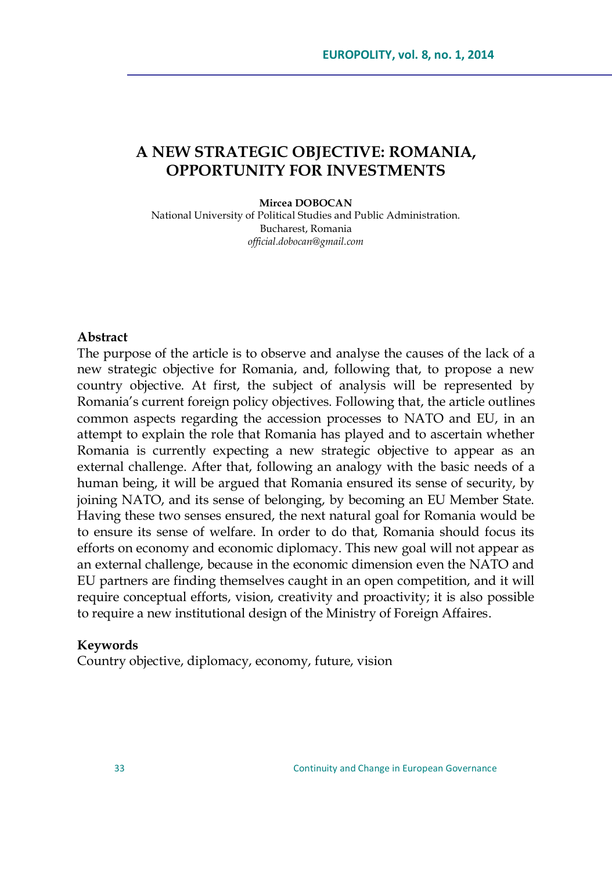# **A NEW STRATEGIC OBJECTIVE: ROMANIA, OPPORTUNITY FOR INVESTMENTS**

#### **Mircea DOBOCAN**

National University of Political Studies and Public Administration. Bucharest, Romania *official.dobocan@gmail.com*

#### **Abstract**

The purpose of the article is to observe and analyse the causes of the lack of a new strategic objective for Romania, and, following that, to propose a new country objective. At first, the subject of analysis will be represented by Romania"s current foreign policy objectives. Following that, the article outlines common aspects regarding the accession processes to NATO and EU, in an attempt to explain the role that Romania has played and to ascertain whether Romania is currently expecting a new strategic objective to appear as an external challenge. After that, following an analogy with the basic needs of a human being, it will be argued that Romania ensured its sense of security, by joining NATO, and its sense of belonging, by becoming an EU Member State. Having these two senses ensured, the next natural goal for Romania would be to ensure its sense of welfare. In order to do that, Romania should focus its efforts on economy and economic diplomacy. This new goal will not appear as an external challenge, because in the economic dimension even the NATO and EU partners are finding themselves caught in an open competition, and it will require conceptual efforts, vision, creativity and proactivity; it is also possible to require a new institutional design of the Ministry of Foreign Affaires.

#### **Keywords**

Country objective, diplomacy, economy, future, vision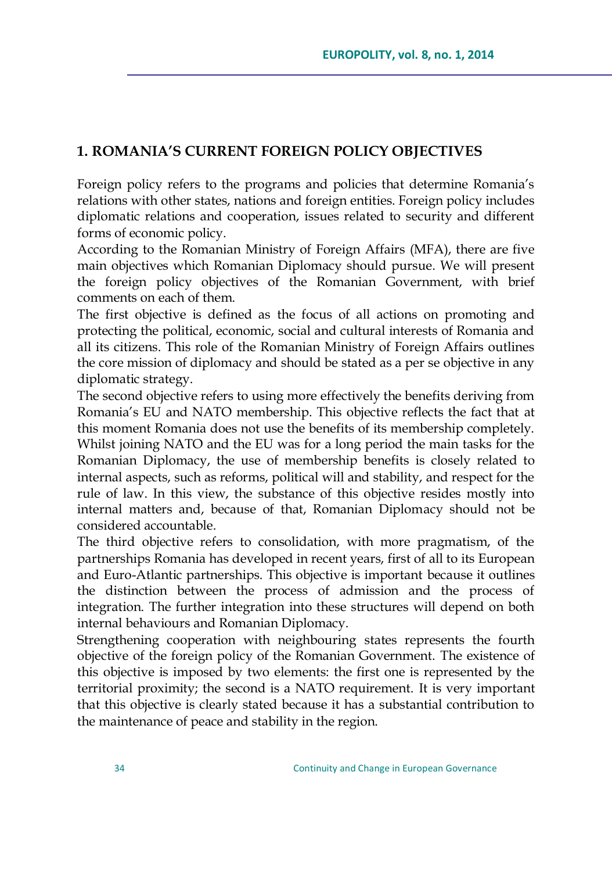## **1. ROMANIA'S CURRENT FOREIGN POLICY OBJECTIVES**

Foreign policy refers to the programs and policies that determine Romania's relations with other states, nations and foreign entities. Foreign policy includes diplomatic relations and cooperation, issues related to security and different forms of economic policy.

According to the Romanian Ministry of Foreign Affairs (MFA), there are five main objectives which Romanian Diplomacy should pursue. We will present the foreign policy objectives of the Romanian Government, with brief comments on each of them.

The first objective is defined as the focus of all actions on promoting and protecting the political, economic, social and cultural interests of Romania and all its citizens. This role of the Romanian Ministry of Foreign Affairs outlines the core mission of diplomacy and should be stated as a per se objective in any diplomatic strategy.

The second objective refers to using more effectively the benefits deriving from Romania"s EU and NATO membership. This objective reflects the fact that at this moment Romania does not use the benefits of its membership completely. Whilst joining NATO and the EU was for a long period the main tasks for the Romanian Diplomacy, the use of membership benefits is closely related to internal aspects, such as reforms, political will and stability, and respect for the rule of law. In this view, the substance of this objective resides mostly into internal matters and, because of that, Romanian Diplomacy should not be considered accountable.

The third objective refers to consolidation, with more pragmatism, of the partnerships Romania has developed in recent years, first of all to its European and Euro-Atlantic partnerships. This objective is important because it outlines the distinction between the process of admission and the process of integration. The further integration into these structures will depend on both internal behaviours and Romanian Diplomacy.

Strengthening cooperation with neighbouring states represents the fourth objective of the foreign policy of the Romanian Government. The existence of this objective is imposed by two elements: the first one is represented by the territorial proximity; the second is a NATO requirement. It is very important that this objective is clearly stated because it has a substantial contribution to the maintenance of peace and stability in the region.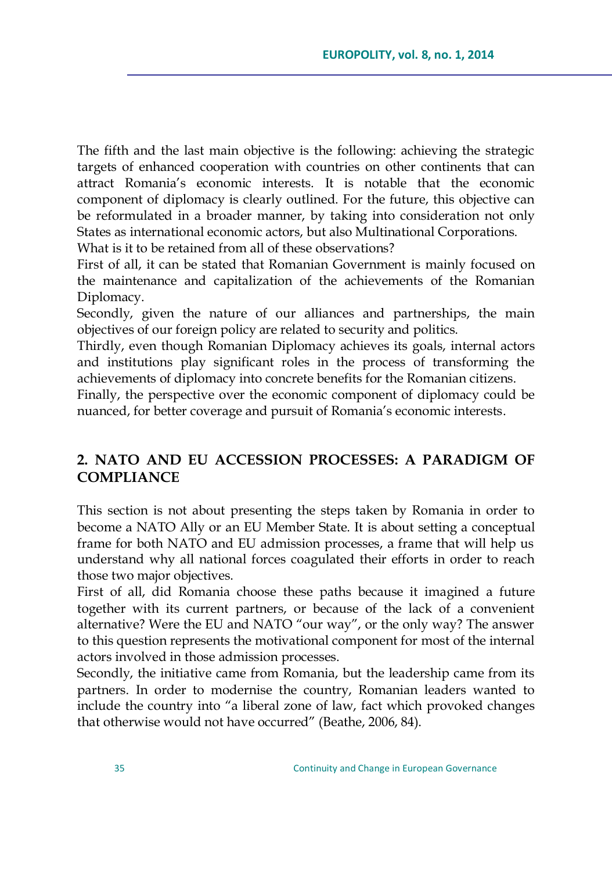The fifth and the last main objective is the following: achieving the strategic targets of enhanced cooperation with countries on other continents that can attract Romania"s economic interests. It is notable that the economic component of diplomacy is clearly outlined. For the future, this objective can be reformulated in a broader manner, by taking into consideration not only States as international economic actors, but also Multinational Corporations.

What is it to be retained from all of these observations?

First of all, it can be stated that Romanian Government is mainly focused on the maintenance and capitalization of the achievements of the Romanian Diplomacy.

Secondly, given the nature of our alliances and partnerships, the main objectives of our foreign policy are related to security and politics.

Thirdly, even though Romanian Diplomacy achieves its goals, internal actors and institutions play significant roles in the process of transforming the achievements of diplomacy into concrete benefits for the Romanian citizens.

Finally, the perspective over the economic component of diplomacy could be nuanced, for better coverage and pursuit of Romania's economic interests.

## **2. NATO AND EU ACCESSION PROCESSES: A PARADIGM OF COMPLIANCE**

This section is not about presenting the steps taken by Romania in order to become a NATO Ally or an EU Member State. It is about setting a conceptual frame for both NATO and EU admission processes, a frame that will help us understand why all national forces coagulated their efforts in order to reach those two major objectives.

First of all, did Romania choose these paths because it imagined a future together with its current partners, or because of the lack of a convenient alternative? Were the EU and NATO "our way", or the only way? The answer to this question represents the motivational component for most of the internal actors involved in those admission processes.

Secondly, the initiative came from Romania, but the leadership came from its partners. In order to modernise the country, Romanian leaders wanted to include the country into "a liberal zone of law, fact which provoked changes that otherwise would not have occurred" (Beathe, 2006, 84).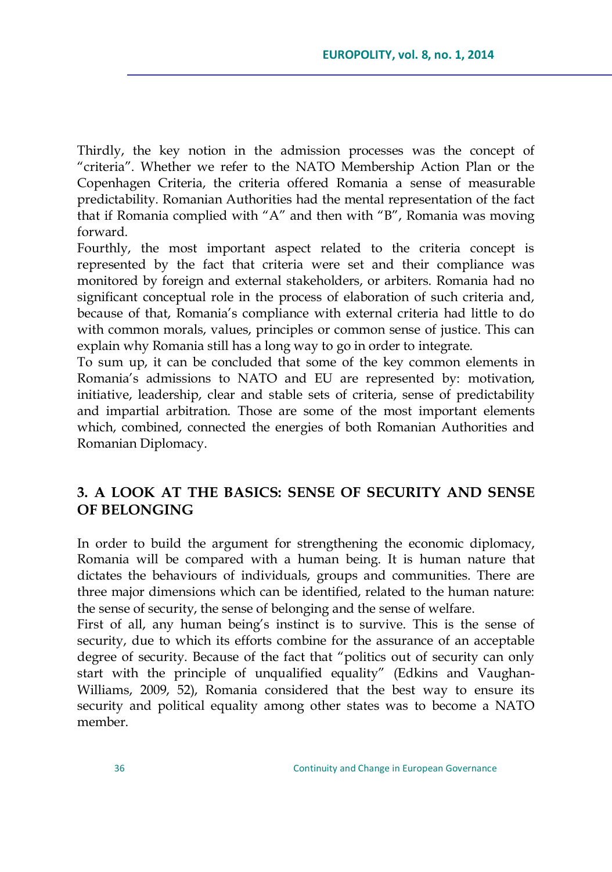Thirdly, the key notion in the admission processes was the concept of "criteria". Whether we refer to the NATO Membership Action Plan or the Copenhagen Criteria, the criteria offered Romania a sense of measurable predictability. Romanian Authorities had the mental representation of the fact that if Romania complied with "A" and then with "B", Romania was moving forward.

Fourthly, the most important aspect related to the criteria concept is represented by the fact that criteria were set and their compliance was monitored by foreign and external stakeholders, or arbiters. Romania had no significant conceptual role in the process of elaboration of such criteria and, because of that, Romania"s compliance with external criteria had little to do with common morals, values, principles or common sense of justice. This can explain why Romania still has a long way to go in order to integrate.

To sum up, it can be concluded that some of the key common elements in Romania's admissions to NATO and EU are represented by: motivation, initiative, leadership, clear and stable sets of criteria, sense of predictability and impartial arbitration. Those are some of the most important elements which, combined, connected the energies of both Romanian Authorities and Romanian Diplomacy.

## **3. A LOOK AT THE BASICS: SENSE OF SECURITY AND SENSE OF BELONGING**

In order to build the argument for strengthening the economic diplomacy, Romania will be compared with a human being. It is human nature that dictates the behaviours of individuals, groups and communities. There are three major dimensions which can be identified, related to the human nature: the sense of security, the sense of belonging and the sense of welfare.

First of all, any human being's instinct is to survive. This is the sense of security, due to which its efforts combine for the assurance of an acceptable degree of security. Because of the fact that "politics out of security can only start with the principle of unqualified equality" (Edkins and Vaughan-Williams, 2009, 52), Romania considered that the best way to ensure its security and political equality among other states was to become a NATO member.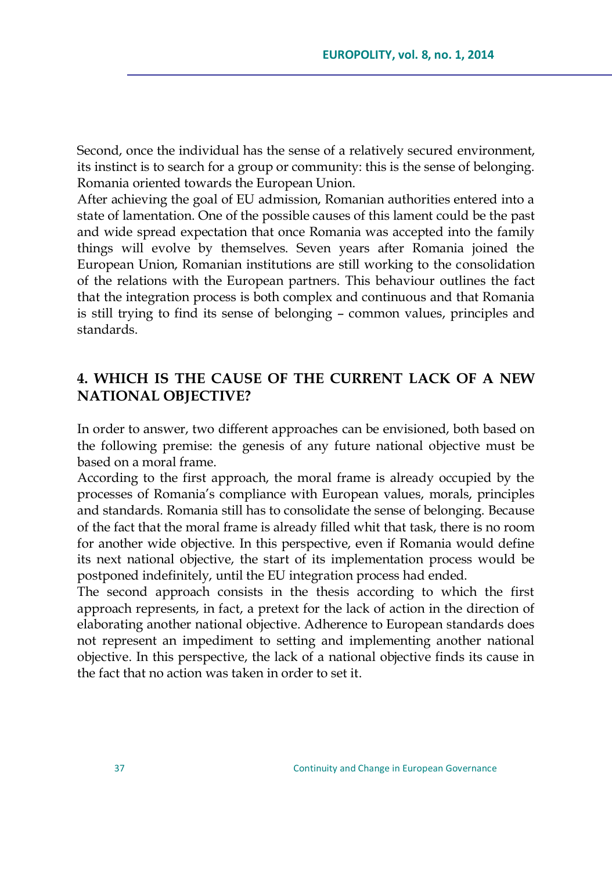Second, once the individual has the sense of a relatively secured environment, its instinct is to search for a group or community: this is the sense of belonging. Romania oriented towards the European Union.

After achieving the goal of EU admission, Romanian authorities entered into a state of lamentation. One of the possible causes of this lament could be the past and wide spread expectation that once Romania was accepted into the family things will evolve by themselves. Seven years after Romania joined the European Union, Romanian institutions are still working to the consolidation of the relations with the European partners. This behaviour outlines the fact that the integration process is both complex and continuous and that Romania is still trying to find its sense of belonging – common values, principles and standards.

## **4. WHICH IS THE CAUSE OF THE CURRENT LACK OF A NEW NATIONAL OBJECTIVE?**

In order to answer, two different approaches can be envisioned, both based on the following premise: the genesis of any future national objective must be based on a moral frame.

According to the first approach, the moral frame is already occupied by the processes of Romania"s compliance with European values, morals, principles and standards. Romania still has to consolidate the sense of belonging. Because of the fact that the moral frame is already filled whit that task, there is no room for another wide objective. In this perspective, even if Romania would define its next national objective, the start of its implementation process would be postponed indefinitely, until the EU integration process had ended.

The second approach consists in the thesis according to which the first approach represents, in fact, a pretext for the lack of action in the direction of elaborating another national objective. Adherence to European standards does not represent an impediment to setting and implementing another national objective. In this perspective, the lack of a national objective finds its cause in the fact that no action was taken in order to set it.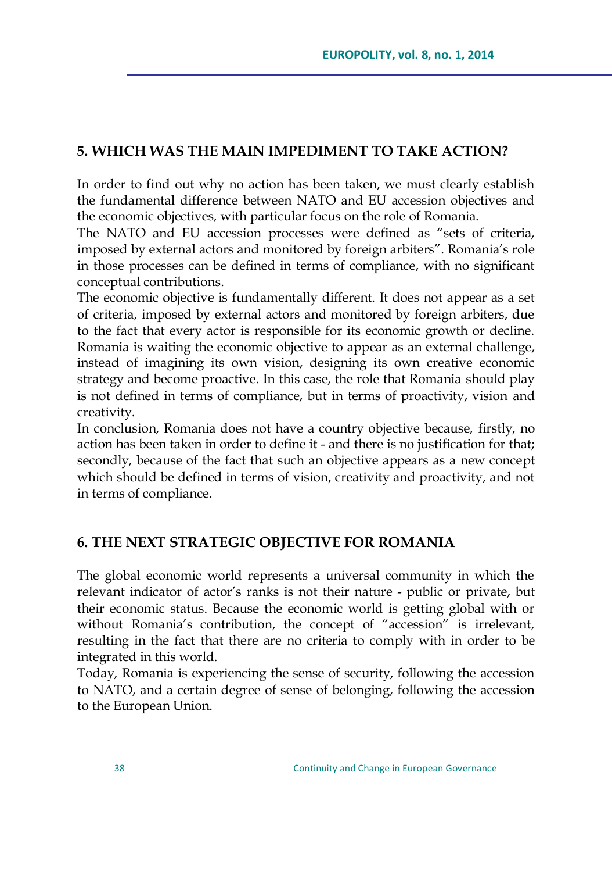## **5. WHICH WAS THE MAIN IMPEDIMENT TO TAKE ACTION?**

In order to find out why no action has been taken, we must clearly establish the fundamental difference between NATO and EU accession objectives and the economic objectives, with particular focus on the role of Romania.

The NATO and EU accession processes were defined as "sets of criteria, imposed by external actors and monitored by foreign arbiters". Romania"s role in those processes can be defined in terms of compliance, with no significant conceptual contributions.

The economic objective is fundamentally different. It does not appear as a set of criteria, imposed by external actors and monitored by foreign arbiters, due to the fact that every actor is responsible for its economic growth or decline. Romania is waiting the economic objective to appear as an external challenge, instead of imagining its own vision, designing its own creative economic strategy and become proactive. In this case, the role that Romania should play is not defined in terms of compliance, but in terms of proactivity, vision and creativity.

In conclusion, Romania does not have a country objective because, firstly, no action has been taken in order to define it - and there is no justification for that; secondly, because of the fact that such an objective appears as a new concept which should be defined in terms of vision, creativity and proactivity, and not in terms of compliance.

### **6. THE NEXT STRATEGIC OBJECTIVE FOR ROMANIA**

The global economic world represents a universal community in which the relevant indicator of actor's ranks is not their nature - public or private, but their economic status. Because the economic world is getting global with or without Romania's contribution, the concept of "accession" is irrelevant, resulting in the fact that there are no criteria to comply with in order to be integrated in this world.

Today, Romania is experiencing the sense of security, following the accession to NATO, and a certain degree of sense of belonging, following the accession to the European Union.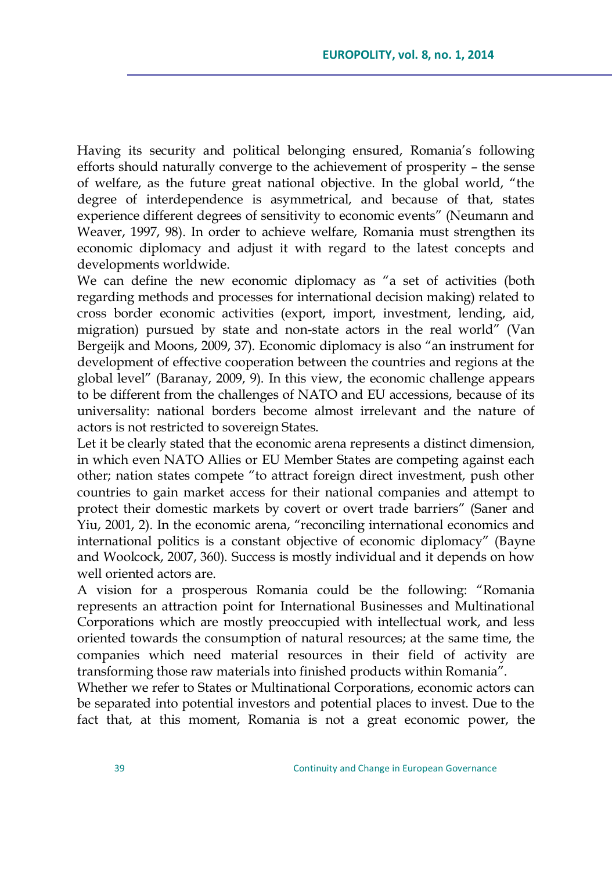Having its security and political belonging ensured, Romania"s following efforts should naturally converge to the achievement of prosperity – the sense of welfare, as the future great national objective. In the global world, "the degree of interdependence is asymmetrical, and because of that, states experience different degrees of sensitivity to economic events" (Neumann and Weaver, 1997, 98). In order to achieve welfare, Romania must strengthen its economic diplomacy and adjust it with regard to the latest concepts and developments worldwide.

We can define the new economic diplomacy as "a set of activities (both regarding methods and processes for international decision making) related to cross border economic activities (export, import, investment, lending, aid, migration) pursued by state and non-state actors in the real world" (Van Bergeijk and Moons, 2009, 37). Economic diplomacy is also "an instrument for development of effective cooperation between the countries and regions at the global level" (Baranay, 2009, 9). In this view, the economic challenge appears to be different from the challenges of NATO and EU accessions, because of its universality: national borders become almost irrelevant and the nature of actors is not restricted to sovereign States.

Let it be clearly stated that the economic arena represents a distinct dimension, in which even NATO Allies or EU Member States are competing against each other; nation states compete "to attract foreign direct investment, push other countries to gain market access for their national companies and attempt to protect their domestic markets by covert or overt trade barriers" (Saner and Yiu, 2001, 2). In the economic arena, "reconciling international economics and international politics is a constant objective of economic diplomacy" (Bayne and Woolcock, 2007, 360). Success is mostly individual and it depends on how well oriented actors are.

A vision for a prosperous Romania could be the following: "Romania represents an attraction point for International Businesses and Multinational Corporations which are mostly preoccupied with intellectual work, and less oriented towards the consumption of natural resources; at the same time, the companies which need material resources in their field of activity are transforming those raw materials into finished products within Romania".

Whether we refer to States or Multinational Corporations, economic actors can be separated into potential investors and potential places to invest. Due to the fact that, at this moment, Romania is not a great economic power, the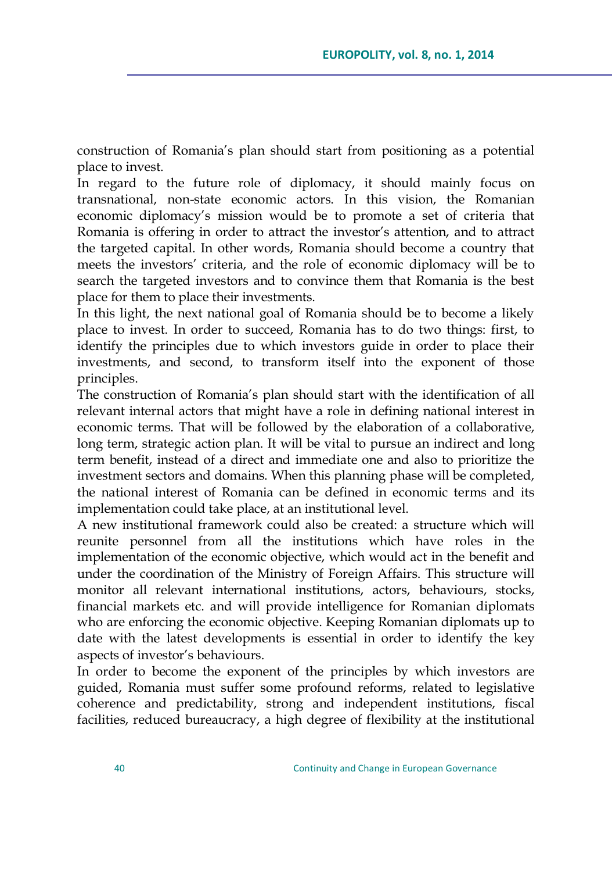construction of Romania"s plan should start from positioning as a potential place to invest.

In regard to the future role of diplomacy, it should mainly focus on transnational, non-state economic actors. In this vision, the Romanian economic diplomacy"s mission would be to promote a set of criteria that Romania is offering in order to attract the investor"s attention, and to attract the targeted capital. In other words, Romania should become a country that meets the investors' criteria, and the role of economic diplomacy will be to search the targeted investors and to convince them that Romania is the best place for them to place their investments.

In this light, the next national goal of Romania should be to become a likely place to invest. In order to succeed, Romania has to do two things: first, to identify the principles due to which investors guide in order to place their investments, and second, to transform itself into the exponent of those principles.

The construction of Romania"s plan should start with the identification of all relevant internal actors that might have a role in defining national interest in economic terms. That will be followed by the elaboration of a collaborative, long term, strategic action plan. It will be vital to pursue an indirect and long term benefit, instead of a direct and immediate one and also to prioritize the investment sectors and domains. When this planning phase will be completed, the national interest of Romania can be defined in economic terms and its implementation could take place, at an institutional level.

A new institutional framework could also be created: a structure which will reunite personnel from all the institutions which have roles in the implementation of the economic objective, which would act in the benefit and under the coordination of the Ministry of Foreign Affairs. This structure will monitor all relevant international institutions, actors, behaviours, stocks, financial markets etc. and will provide intelligence for Romanian diplomats who are enforcing the economic objective. Keeping Romanian diplomats up to date with the latest developments is essential in order to identify the key aspects of investor"s behaviours.

In order to become the exponent of the principles by which investors are guided, Romania must suffer some profound reforms, related to legislative coherence and predictability, strong and independent institutions, fiscal facilities, reduced bureaucracy, a high degree of flexibility at the institutional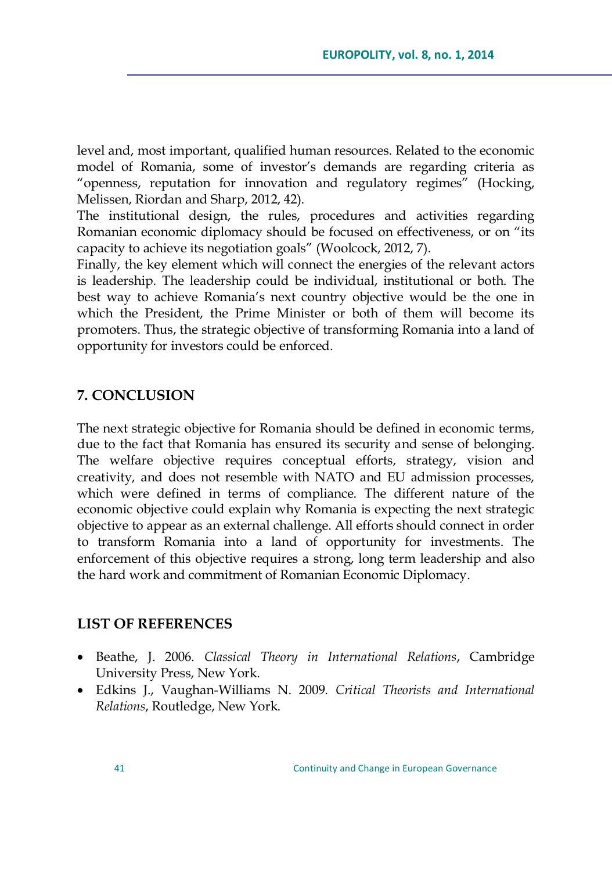level and, most important, qualified human resources. Related to the economic model of Romania, some of investor's demands are regarding criteria as "openness, reputation for innovation and regulatory regimes" (Hocking, Melissen, Riordan and Sharp, 2012, 42).

The institutional design, the rules, procedures and activities regarding Romanian economic diplomacy should be focused on effectiveness, or on "its capacity to achieve its negotiation goals" (Woolcock, 2012, 7).

Finally, the key element which will connect the energies of the relevant actors is leadership. The leadership could be individual, institutional or both. The best way to achieve Romania"s next country objective would be the one in which the President, the Prime Minister or both of them will become its promoters. Thus, the strategic objective of transforming Romania into a land of opportunity for investors could be enforced.

### **7. CONCLUSION**

The next strategic objective for Romania should be defined in economic terms, due to the fact that Romania has ensured its security and sense of belonging. The welfare objective requires conceptual efforts, strategy, vision and creativity, and does not resemble with NATO and EU admission processes, which were defined in terms of compliance. The different nature of the economic objective could explain why Romania is expecting the next strategic objective to appear as an external challenge. All efforts should connect in order to transform Romania into a land of opportunity for investments. The enforcement of this objective requires a strong, long term leadership and also the hard work and commitment of Romanian Economic Diplomacy.

### **LIST OF REFERENCES**

- Beathe, J. 2006. *Classical Theory in International Relations*, Cambridge University Press, New York.
- Edkins J., Vaughan-Williams N. 2009. *Critical Theorists and International Relations*, Routledge, New York.